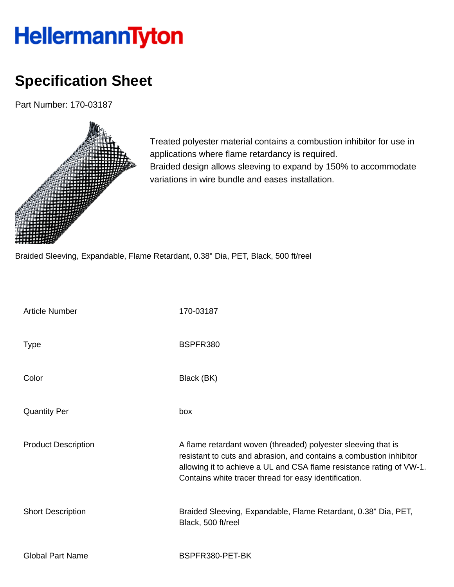## HellermannTyton

## **Specification Sheet**

Part Number: 170-03187



Treated polyester material contains a combustion inhibitor for use in applications where flame retardancy is required. Braided design allows sleeving to expand by 150% to accommodate variations in wire bundle and eases installation.

Braided Sleeving, Expandable, Flame Retardant, 0.38" Dia, PET, Black, 500 ft/reel

| <b>Article Number</b>      | 170-03187                                                                                                                                                                                                                                                             |
|----------------------------|-----------------------------------------------------------------------------------------------------------------------------------------------------------------------------------------------------------------------------------------------------------------------|
| <b>Type</b>                | BSPFR380                                                                                                                                                                                                                                                              |
| Color                      | Black (BK)                                                                                                                                                                                                                                                            |
| <b>Quantity Per</b>        | box                                                                                                                                                                                                                                                                   |
| <b>Product Description</b> | A flame retardant woven (threaded) polyester sleeving that is<br>resistant to cuts and abrasion, and contains a combustion inhibitor<br>allowing it to achieve a UL and CSA flame resistance rating of VW-1.<br>Contains white tracer thread for easy identification. |
| <b>Short Description</b>   | Braided Sleeving, Expandable, Flame Retardant, 0.38" Dia, PET,<br>Black, 500 ft/reel                                                                                                                                                                                  |
| <b>Global Part Name</b>    | BSPFR380-PET-BK                                                                                                                                                                                                                                                       |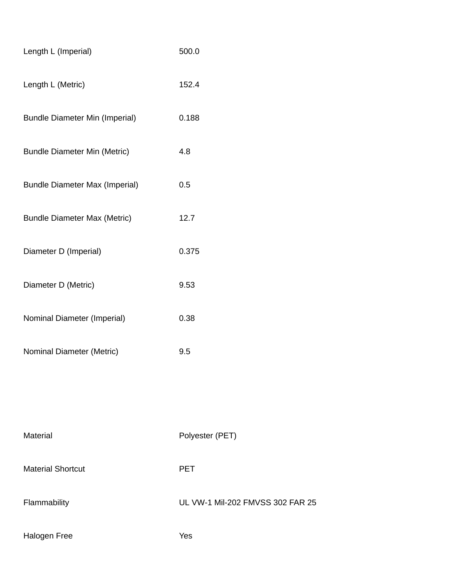| Length L (Imperial)                   | 500.0                            |
|---------------------------------------|----------------------------------|
| Length L (Metric)                     | 152.4                            |
| <b>Bundle Diameter Min (Imperial)</b> | 0.188                            |
| <b>Bundle Diameter Min (Metric)</b>   | 4.8                              |
| <b>Bundle Diameter Max (Imperial)</b> | 0.5                              |
| <b>Bundle Diameter Max (Metric)</b>   | 12.7                             |
| Diameter D (Imperial)                 | 0.375                            |
| Diameter D (Metric)                   | 9.53                             |
| Nominal Diameter (Imperial)           | 0.38                             |
| Nominal Diameter (Metric)             | 9.5                              |
|                                       |                                  |
|                                       |                                  |
| Material                              | Polyester (PET)                  |
| <b>Material Shortcut</b>              | <b>PET</b>                       |
| Flammability                          | UL VW-1 Mil-202 FMVSS 302 FAR 25 |
| Halogen Free                          | Yes                              |